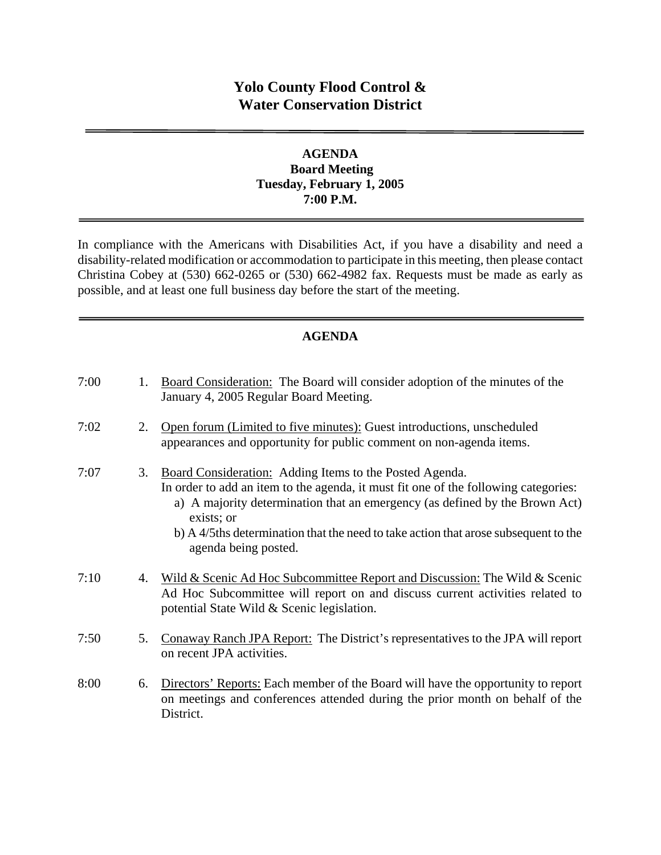# **Yolo County Flood Control & Water Conservation District**

## **AGENDA Board Meeting Tuesday, February 1, 2005 7:00 P.M.**

In compliance with the Americans with Disabilities Act, if you have a disability and need a disability-related modification or accommodation to participate in this meeting, then please contact Christina Cobey at (530) 662-0265 or (530) 662-4982 fax. Requests must be made as early as possible, and at least one full business day before the start of the meeting.

## **AGENDA**

| 7:00 | 1. | Board Consideration: The Board will consider adoption of the minutes of the<br>January 4, 2005 Regular Board Meeting.                                                                                                                                                                                                                                      |
|------|----|------------------------------------------------------------------------------------------------------------------------------------------------------------------------------------------------------------------------------------------------------------------------------------------------------------------------------------------------------------|
| 7:02 | 2. | Open forum (Limited to five minutes): Guest introductions, unscheduled<br>appearances and opportunity for public comment on non-agenda items.                                                                                                                                                                                                              |
| 7:07 | 3. | Board Consideration: Adding Items to the Posted Agenda.<br>In order to add an item to the agenda, it must fit one of the following categories:<br>a) A majority determination that an emergency (as defined by the Brown Act)<br>exists; or<br>b) A 4/5ths determination that the need to take action that arose subsequent to the<br>agenda being posted. |
| 7:10 | 4. | Wild & Scenic Ad Hoc Subcommittee Report and Discussion: The Wild & Scenic<br>Ad Hoc Subcommittee will report on and discuss current activities related to<br>potential State Wild & Scenic legislation.                                                                                                                                                   |
| 7:50 | 5. | Conaway Ranch JPA Report: The District's representatives to the JPA will report<br>on recent JPA activities.                                                                                                                                                                                                                                               |
| 8:00 | 6. | Directors' Reports: Each member of the Board will have the opportunity to report<br>on meetings and conferences attended during the prior month on behalf of the<br>District.                                                                                                                                                                              |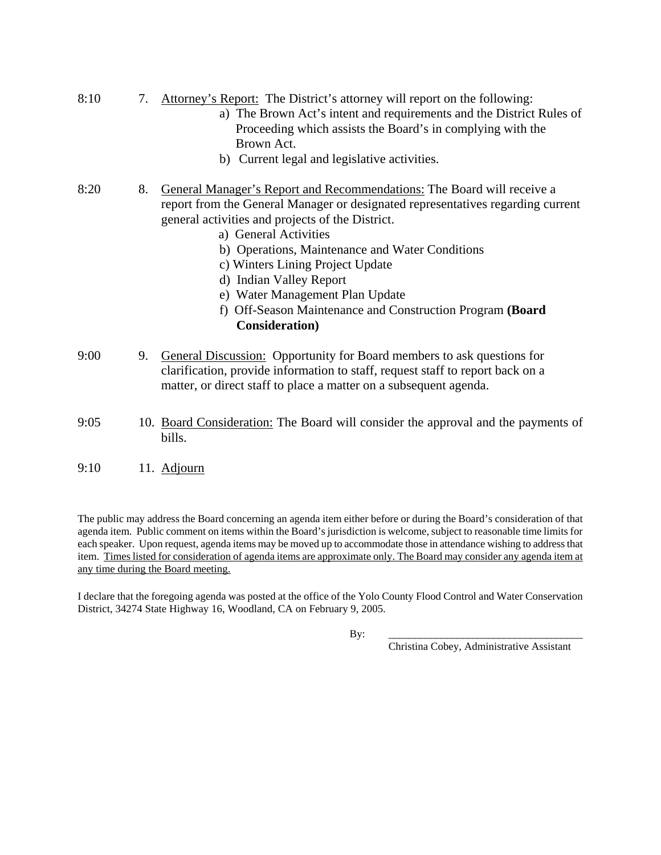- 8:10 7. Attorney's Report: The District's attorney will report on the following:
	- a) The Brown Act's intent and requirements and the District Rules of Proceeding which assists the Board's in complying with the Brown Act.
	- b) Current legal and legislative activities.
- 8:20 8. General Manager's Report and Recommendations: The Board will receive a report from the General Manager or designated representatives regarding current general activities and projects of the District.
	- a) General Activities
	- b) Operations, Maintenance and Water Conditions
	- c) Winters Lining Project Update
	- d) Indian Valley Report
	- e) Water Management Plan Update
	- f) Off-Season Maintenance and Construction Program **(Board Consideration)**
- 9:00 9. General Discussion: Opportunity for Board members to ask questions for clarification, provide information to staff, request staff to report back on a matter, or direct staff to place a matter on a subsequent agenda.
- 9:05 10. Board Consideration: The Board will consider the approval and the payments of bills.
- 9:10 11. Adjourn

The public may address the Board concerning an agenda item either before or during the Board's consideration of that agenda item. Public comment on items within the Board's jurisdiction is welcome, subject to reasonable time limits for each speaker. Upon request, agenda items may be moved up to accommodate those in attendance wishing to address that item. Times listed for consideration of agenda items are approximate only. The Board may consider any agenda item at any time during the Board meeting.

I declare that the foregoing agenda was posted at the office of the Yolo County Flood Control and Water Conservation District, 34274 State Highway 16, Woodland, CA on February 9, 2005.

By: \_\_\_\_\_\_\_\_\_\_\_\_\_\_\_\_\_\_\_\_\_\_\_\_\_\_\_\_\_\_\_\_\_\_\_\_\_

Christina Cobey, Administrative Assistant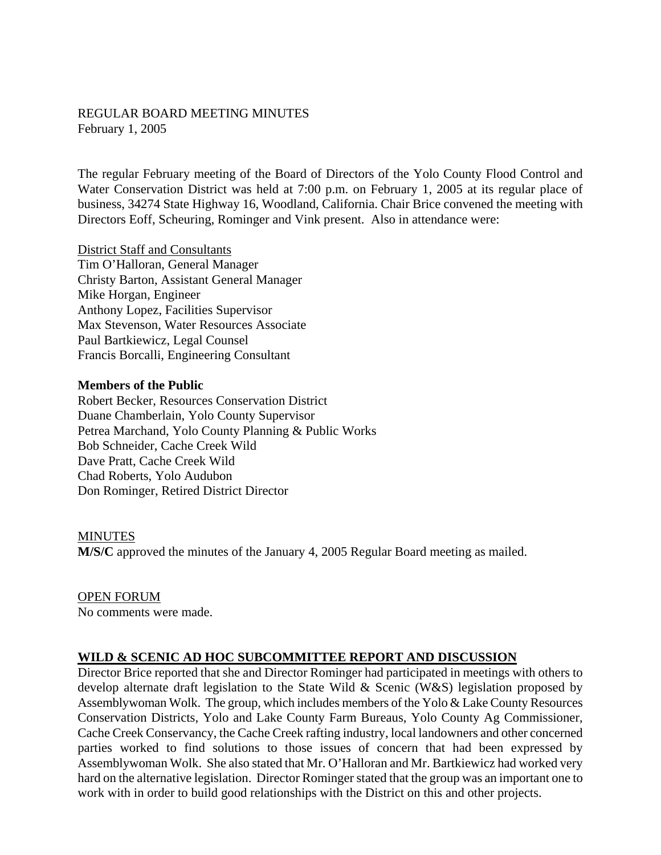### REGULAR BOARD MEETING MINUTES February 1, 2005

The regular February meeting of the Board of Directors of the Yolo County Flood Control and Water Conservation District was held at 7:00 p.m. on February 1, 2005 at its regular place of business, 34274 State Highway 16, Woodland, California. Chair Brice convened the meeting with Directors Eoff, Scheuring, Rominger and Vink present. Also in attendance were:

District Staff and Consultants Tim O'Halloran, General Manager Christy Barton, Assistant General Manager Mike Horgan, Engineer Anthony Lopez, Facilities Supervisor Max Stevenson, Water Resources Associate Paul Bartkiewicz, Legal Counsel Francis Borcalli, Engineering Consultant

#### **Members of the Public**

Robert Becker, Resources Conservation District Duane Chamberlain, Yolo County Supervisor Petrea Marchand, Yolo County Planning & Public Works Bob Schneider, Cache Creek Wild Dave Pratt, Cache Creek Wild Chad Roberts, Yolo Audubon Don Rominger, Retired District Director

#### MINUTES

**M/S/C** approved the minutes of the January 4, 2005 Regular Board meeting as mailed.

OPEN FORUM No comments were made.

### **WILD & SCENIC AD HOC SUBCOMMITTEE REPORT AND DISCUSSION**

Director Brice reported that she and Director Rominger had participated in meetings with others to develop alternate draft legislation to the State Wild & Scenic (W&S) legislation proposed by Assemblywoman Wolk. The group, which includes members of the Yolo & Lake County Resources Conservation Districts, Yolo and Lake County Farm Bureaus, Yolo County Ag Commissioner, Cache Creek Conservancy, the Cache Creek rafting industry, local landowners and other concerned parties worked to find solutions to those issues of concern that had been expressed by Assemblywoman Wolk. She also stated that Mr. O'Halloran and Mr. Bartkiewicz had worked very hard on the alternative legislation. Director Rominger stated that the group was an important one to work with in order to build good relationships with the District on this and other projects.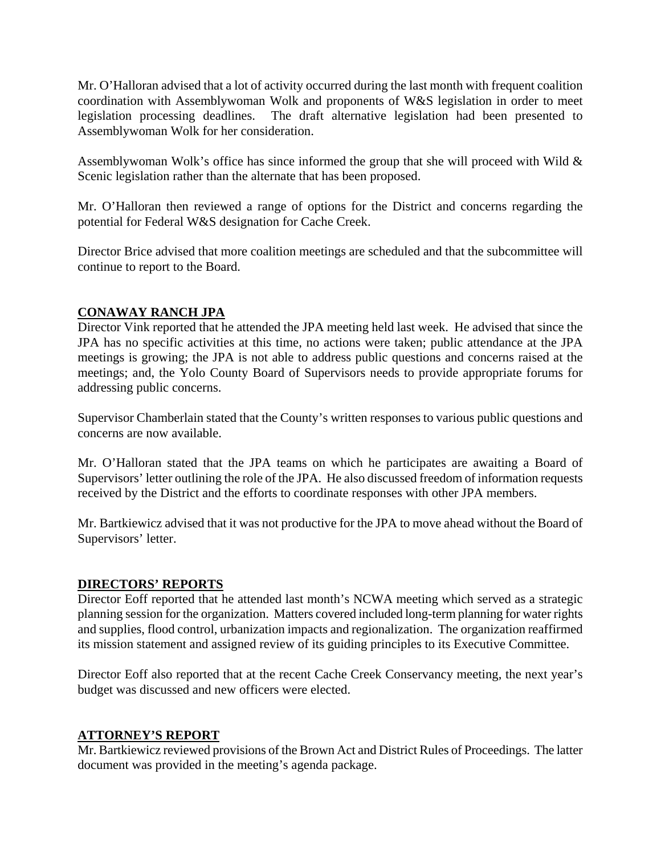Mr. O'Halloran advised that a lot of activity occurred during the last month with frequent coalition coordination with Assemblywoman Wolk and proponents of W&S legislation in order to meet legislation processing deadlines. The draft alternative legislation had been presented to Assemblywoman Wolk for her consideration.

Assemblywoman Wolk's office has since informed the group that she will proceed with Wild & Scenic legislation rather than the alternate that has been proposed.

Mr. O'Halloran then reviewed a range of options for the District and concerns regarding the potential for Federal W&S designation for Cache Creek.

Director Brice advised that more coalition meetings are scheduled and that the subcommittee will continue to report to the Board.

## **CONAWAY RANCH JPA**

Director Vink reported that he attended the JPA meeting held last week. He advised that since the JPA has no specific activities at this time, no actions were taken; public attendance at the JPA meetings is growing; the JPA is not able to address public questions and concerns raised at the meetings; and, the Yolo County Board of Supervisors needs to provide appropriate forums for addressing public concerns.

Supervisor Chamberlain stated that the County's written responses to various public questions and concerns are now available.

Mr. O'Halloran stated that the JPA teams on which he participates are awaiting a Board of Supervisors' letter outlining the role of the JPA. He also discussed freedom of information requests received by the District and the efforts to coordinate responses with other JPA members.

Mr. Bartkiewicz advised that it was not productive for the JPA to move ahead without the Board of Supervisors' letter.

### **DIRECTORS' REPORTS**

Director Eoff reported that he attended last month's NCWA meeting which served as a strategic planning session for the organization. Matters covered included long-term planning for water rights and supplies, flood control, urbanization impacts and regionalization. The organization reaffirmed its mission statement and assigned review of its guiding principles to its Executive Committee.

Director Eoff also reported that at the recent Cache Creek Conservancy meeting, the next year's budget was discussed and new officers were elected.

## **ATTORNEY'S REPORT**

Mr. Bartkiewicz reviewed provisions of the Brown Act and District Rules of Proceedings. The latter document was provided in the meeting's agenda package.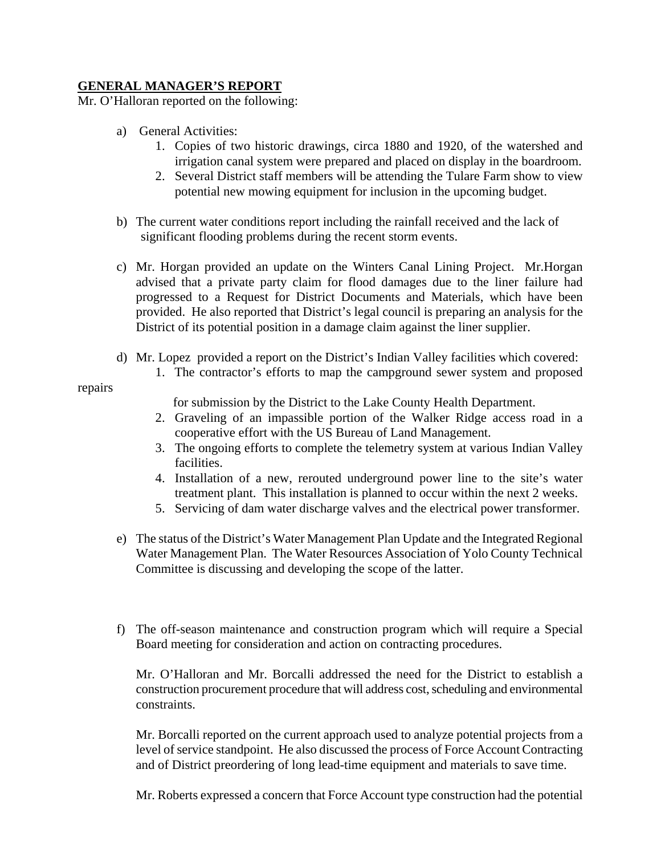## **GENERAL MANAGER'S REPORT**

Mr. O'Halloran reported on the following:

- a) General Activities:
	- 1. Copies of two historic drawings, circa 1880 and 1920, of the watershed and irrigation canal system were prepared and placed on display in the boardroom.
	- 2. Several District staff members will be attending the Tulare Farm show to view potential new mowing equipment for inclusion in the upcoming budget.
- b) The current water conditions report including the rainfall received and the lack of significant flooding problems during the recent storm events.
- c) Mr. Horgan provided an update on the Winters Canal Lining Project. Mr.Horgan advised that a private party claim for flood damages due to the liner failure had progressed to a Request for District Documents and Materials, which have been provided. He also reported that District's legal council is preparing an analysis for the District of its potential position in a damage claim against the liner supplier.
- d) Mr. Lopez provided a report on the District's Indian Valley facilities which covered:
	- 1. The contractor's efforts to map the campground sewer system and proposed

repairs

for submission by the District to the Lake County Health Department.

- 2. Graveling of an impassible portion of the Walker Ridge access road in a cooperative effort with the US Bureau of Land Management.
- 3. The ongoing efforts to complete the telemetry system at various Indian Valley facilities.
- 4. Installation of a new, rerouted underground power line to the site's water treatment plant. This installation is planned to occur within the next 2 weeks.
- 5. Servicing of dam water discharge valves and the electrical power transformer.
- e) The status of the District's Water Management Plan Update and the Integrated Regional Water Management Plan. The Water Resources Association of Yolo County Technical Committee is discussing and developing the scope of the latter.
- f) The off-season maintenance and construction program which will require a Special Board meeting for consideration and action on contracting procedures.

Mr. O'Halloran and Mr. Borcalli addressed the need for the District to establish a construction procurement procedure that will address cost, scheduling and environmental constraints.

Mr. Borcalli reported on the current approach used to analyze potential projects from a level of service standpoint. He also discussed the process of Force Account Contracting and of District preordering of long lead-time equipment and materials to save time.

Mr. Roberts expressed a concern that Force Account type construction had the potential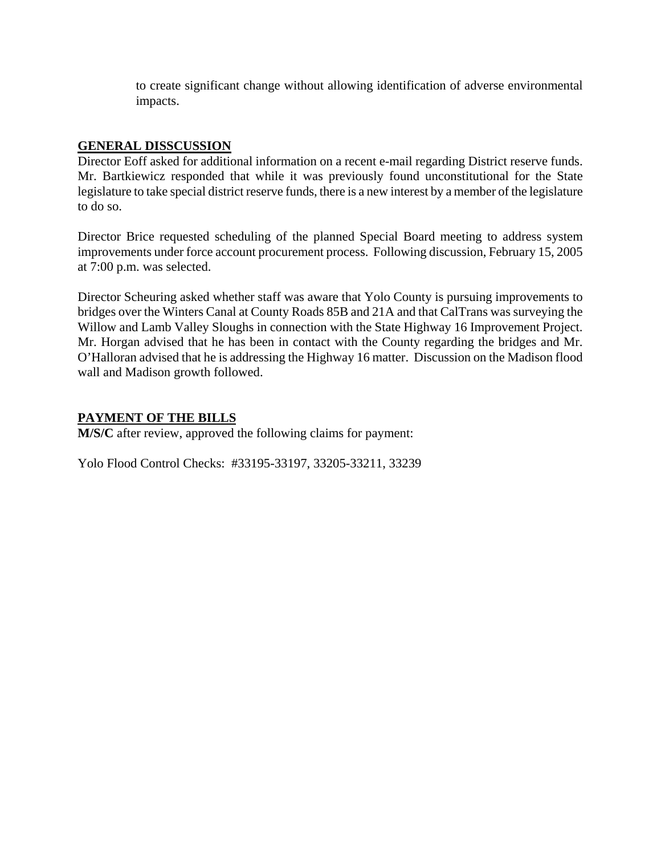to create significant change without allowing identification of adverse environmental impacts.

## **GENERAL DISSCUSSION**

Director Eoff asked for additional information on a recent e-mail regarding District reserve funds. Mr. Bartkiewicz responded that while it was previously found unconstitutional for the State legislature to take special district reserve funds, there is a new interest by a member of the legislature to do so.

Director Brice requested scheduling of the planned Special Board meeting to address system improvements under force account procurement process. Following discussion, February 15, 2005 at 7:00 p.m. was selected.

Director Scheuring asked whether staff was aware that Yolo County is pursuing improvements to bridges over the Winters Canal at County Roads 85B and 21A and that CalTrans was surveying the Willow and Lamb Valley Sloughs in connection with the State Highway 16 Improvement Project. Mr. Horgan advised that he has been in contact with the County regarding the bridges and Mr. O'Halloran advised that he is addressing the Highway 16 matter. Discussion on the Madison flood wall and Madison growth followed.

## **PAYMENT OF THE BILLS**

**M/S/C** after review, approved the following claims for payment:

Yolo Flood Control Checks: #33195-33197, 33205-33211, 33239